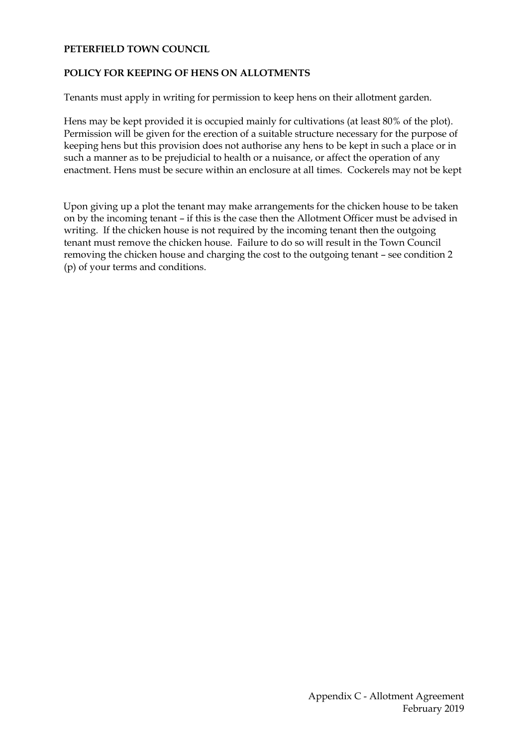#### **PETERFIELD TOWN COUNCIL**

## **POLICY FOR KEEPING OF HENS ON ALLOTMENTS**

Tenants must apply in writing for permission to keep hens on their allotment garden.

Hens may be kept provided it is occupied mainly for cultivations (at least 80% of the plot). Permission will be given for the erection of a suitable structure necessary for the purpose of keeping hens but this provision does not authorise any hens to be kept in such a place or in such a manner as to be prejudicial to health or a nuisance, or affect the operation of any enactment. Hens must be secure within an enclosure at all times. Cockerels may not be kept

Upon giving up a plot the tenant may make arrangements for the chicken house to be taken on by the incoming tenant – if this is the case then the Allotment Officer must be advised in writing. If the chicken house is not required by the incoming tenant then the outgoing tenant must remove the chicken house. Failure to do so will result in the Town Council removing the chicken house and charging the cost to the outgoing tenant – see condition 2 (p) of your terms and conditions.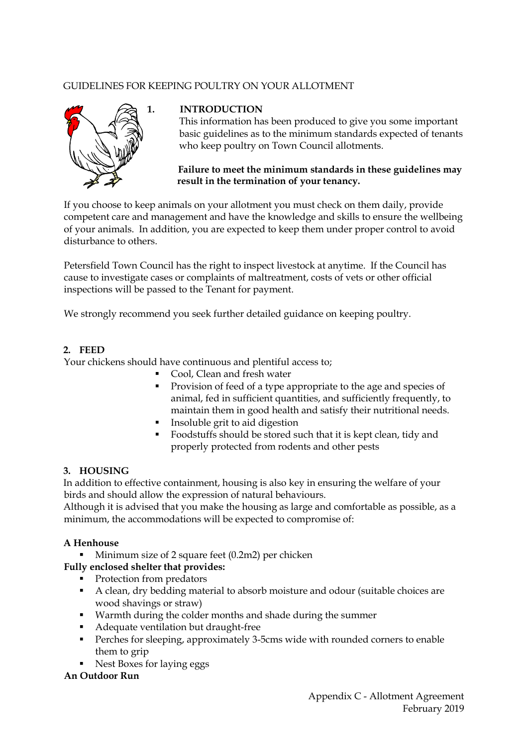# GUIDELINES FOR KEEPING POULTRY ON YOUR ALLOTMENT



## **1. INTRODUCTION**

 This information has been produced to give you some important basic guidelines as to the minimum standards expected of tenants who keep poultry on Town Council allotments.

## **Failure to meet the minimum standards in these guidelines may result in the termination of your tenancy.**

If you choose to keep animals on your allotment you must check on them daily, provide competent care and management and have the knowledge and skills to ensure the wellbeing of your animals. In addition, you are expected to keep them under proper control to avoid disturbance to others.

Petersfield Town Council has the right to inspect livestock at anytime. If the Council has cause to investigate cases or complaints of maltreatment, costs of vets or other official inspections will be passed to the Tenant for payment.

We strongly recommend you seek further detailed guidance on keeping poultry.

## **2. FEED**

Your chickens should have continuous and plentiful access to;

- Cool, Clean and fresh water
- **Provision of feed of a type appropriate to the age and species of** animal, fed in sufficient quantities, and sufficiently frequently, to maintain them in good health and satisfy their nutritional needs.
- **Insoluble grit to aid digestion**
- Foodstuffs should be stored such that it is kept clean, tidy and properly protected from rodents and other pests

# **3. HOUSING**

In addition to effective containment, housing is also key in ensuring the welfare of your birds and should allow the expression of natural behaviours.

Although it is advised that you make the housing as large and comfortable as possible, as a minimum, the accommodations will be expected to compromise of:

# **A Henhouse**

Minimum size of 2 square feet (0.2m2) per chicken

# **Fully enclosed shelter that provides:**

- Protection from predators
- A clean, dry bedding material to absorb moisture and odour (suitable choices are wood shavings or straw)
- Warmth during the colder months and shade during the summer
- Adequate ventilation but draught-free
- **Perches for sleeping, approximately 3-5cms wide with rounded corners to enable** them to grip
- Nest Boxes for laying eggs

#### **An Outdoor Run**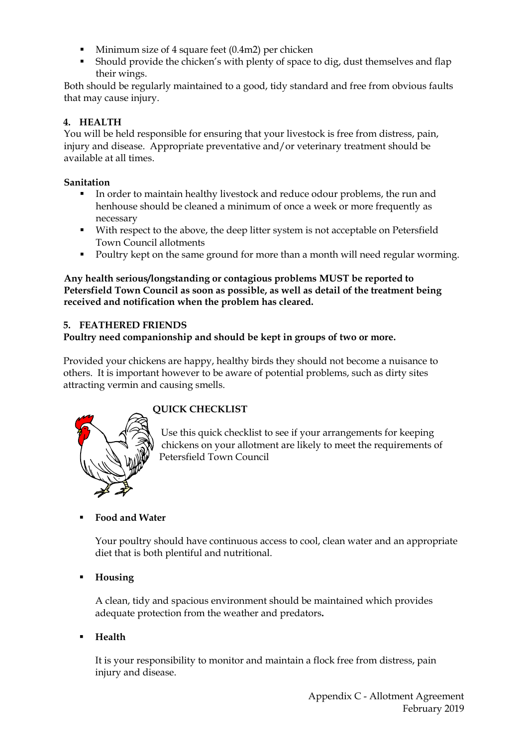- Minimum size of 4 square feet (0.4m2) per chicken
- Should provide the chicken's with plenty of space to dig, dust themselves and flap their wings.

Both should be regularly maintained to a good, tidy standard and free from obvious faults that may cause injury.

# **4. HEALTH**

You will be held responsible for ensuring that your livestock is free from distress, pain, injury and disease. Appropriate preventative and/or veterinary treatment should be available at all times.

## **Sanitation**

- In order to maintain healthy livestock and reduce odour problems, the run and henhouse should be cleaned a minimum of once a week or more frequently as necessary
- With respect to the above, the deep litter system is not acceptable on Petersfield Town Council allotments
- Poultry kept on the same ground for more than a month will need regular worming.

**Any health serious/longstanding or contagious problems MUST be reported to Petersfield Town Council as soon as possible, as well as detail of the treatment being received and notification when the problem has cleared.**

## **5. FEATHERED FRIENDS**

# **Poultry need companionship and should be kept in groups of two or more.**

Provided your chickens are happy, healthy birds they should not become a nuisance to others. It is important however to be aware of potential problems, such as dirty sites attracting vermin and causing smells.



# **QUICK CHECKLIST**

Use this quick checklist to see if your arrangements for keeping chickens on your allotment are likely to meet the requirements of Petersfield Town Council

# **Food and Water**

Your poultry should have continuous access to cool, clean water and an appropriate diet that is both plentiful and nutritional.

**Housing**

A clean, tidy and spacious environment should be maintained which provides adequate protection from the weather and predators**.**

**Health**

It is your responsibility to monitor and maintain a flock free from distress, pain injury and disease.